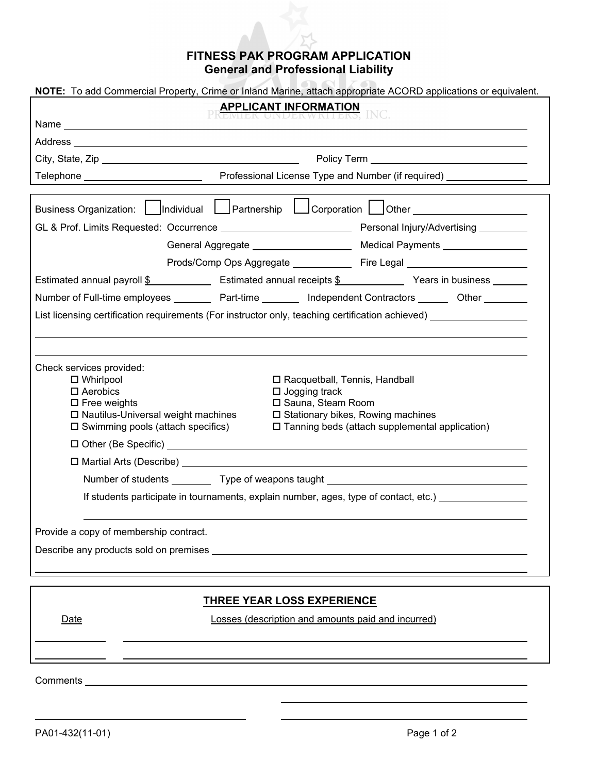## **FITNESS PAK PROGRAM APPLICATION General and Professional Liability**

| NOTE: To add Commercial Property, Crime or Inland Marine, attach appropriate ACORD applications or equivalent.                                                                                                                |                                                                    |                                                                                  |
|-------------------------------------------------------------------------------------------------------------------------------------------------------------------------------------------------------------------------------|--------------------------------------------------------------------|----------------------------------------------------------------------------------|
| <b>APPLICANT INFORMATION INC.</b>                                                                                                                                                                                             |                                                                    |                                                                                  |
|                                                                                                                                                                                                                               |                                                                    |                                                                                  |
|                                                                                                                                                                                                                               |                                                                    |                                                                                  |
| City, State, Zip <b>Example 2018</b>                                                                                                                                                                                          |                                                                    |                                                                                  |
|                                                                                                                                                                                                                               |                                                                    |                                                                                  |
|                                                                                                                                                                                                                               |                                                                    | Prods/Comp Ops Aggregate _______________ Fire Legal ____________________________ |
| Estimated annual payroll \$ [100] Estimated annual receipts \$ [100] Years in business [100] Years in business [100] Estimated annual receipts \$                                                                             |                                                                    |                                                                                  |
| Number of Full-time employees __________ Part-time _________ Independent Contractors _______ Other ________<br>List licensing certification requirements (For instructor only, teaching certification achieved) _____________ |                                                                    |                                                                                  |
| Check services provided:<br>$\Box$ Whirlpool<br>$\Box$ Aerobics                                                                                                                                                               | □ Racquetball, Tennis, Handball<br>$\Box$ Jogging track            |                                                                                  |
| $\square$ Free weights<br>$\square$ Nautilus-Universal weight machines<br>$\square$ Swimming pools (attach specifics)                                                                                                         | □ Sauna, Steam Room<br>$\square$ Stationary bikes, Rowing machines | $\Box$ Tanning beds (attach supplemental application)                            |
|                                                                                                                                                                                                                               |                                                                    |                                                                                  |
|                                                                                                                                                                                                                               |                                                                    |                                                                                  |
| Number of students ____________ Type of weapons taught _________________________                                                                                                                                              |                                                                    |                                                                                  |
| If students participate in tournaments, explain number, ages, type of contact, etc.)                                                                                                                                          |                                                                    |                                                                                  |
| Provide a copy of membership contract.                                                                                                                                                                                        |                                                                    |                                                                                  |
| Describe any products sold on premises _________                                                                                                                                                                              |                                                                    |                                                                                  |
| <u>THREE YEAR LOSS EXPERIENCE</u>                                                                                                                                                                                             |                                                                    |                                                                                  |
| Date                                                                                                                                                                                                                          | Losses (description and amounts paid and incurred)                 |                                                                                  |

Comments \_\_